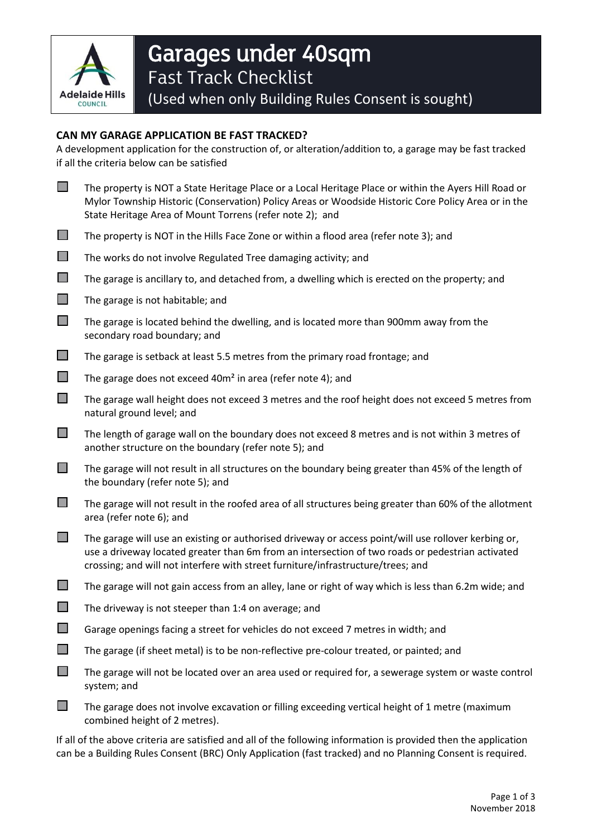

## **CAN MY GARAGE APPLICATION BE FAST TRACKED?**

A development application for the construction of, or alteration/addition to, a garage may be fast tracked if all the criteria below can be satisfied

| $\Box$                      | The property is NOT a State Heritage Place or a Local Heritage Place or within the Ayers Hill Road or<br>Mylor Township Historic (Conservation) Policy Areas or Woodside Historic Core Policy Area or in the<br>State Heritage Area of Mount Torrens (refer note 2); and                     |
|-----------------------------|----------------------------------------------------------------------------------------------------------------------------------------------------------------------------------------------------------------------------------------------------------------------------------------------|
| $\Box$                      | The property is NOT in the Hills Face Zone or within a flood area (refer note 3); and                                                                                                                                                                                                        |
| $\mathbb{R}^n$              | The works do not involve Regulated Tree damaging activity; and                                                                                                                                                                                                                               |
| $\Box$                      | The garage is ancillary to, and detached from, a dwelling which is erected on the property; and                                                                                                                                                                                              |
| $\mathcal{L}_{\mathcal{A}}$ | The garage is not habitable; and                                                                                                                                                                                                                                                             |
| $\Box$                      | The garage is located behind the dwelling, and is located more than 900mm away from the<br>secondary road boundary; and                                                                                                                                                                      |
| $\mathcal{L}_{\mathcal{A}}$ | The garage is setback at least 5.5 metres from the primary road frontage; and                                                                                                                                                                                                                |
| $\Box$                      | The garage does not exceed 40m <sup>2</sup> in area (refer note 4); and                                                                                                                                                                                                                      |
| □                           | The garage wall height does not exceed 3 metres and the roof height does not exceed 5 metres from<br>natural ground level; and                                                                                                                                                               |
| $\mathcal{L}^{\mathcal{A}}$ | The length of garage wall on the boundary does not exceed 8 metres and is not within 3 metres of<br>another structure on the boundary (refer note 5); and                                                                                                                                    |
| $\Box$                      | The garage will not result in all structures on the boundary being greater than 45% of the length of<br>the boundary (refer note 5); and                                                                                                                                                     |
| $\mathcal{L}^{\mathcal{A}}$ | The garage will not result in the roofed area of all structures being greater than 60% of the allotment<br>area (refer note 6); and                                                                                                                                                          |
| $\mathcal{L}^{\mathcal{A}}$ | The garage will use an existing or authorised driveway or access point/will use rollover kerbing or,<br>use a driveway located greater than 6m from an intersection of two roads or pedestrian activated<br>crossing; and will not interfere with street furniture/infrastructure/trees; and |
| $\Box$                      | The garage will not gain access from an alley, lane or right of way which is less than 6.2m wide; and                                                                                                                                                                                        |
| $\Box$                      | The driveway is not steeper than 1:4 on average; and                                                                                                                                                                                                                                         |
|                             | Garage openings facing a street for vehicles do not exceed 7 metres in width; and                                                                                                                                                                                                            |
|                             | The garage (if sheet metal) is to be non-reflective pre-colour treated, or painted; and                                                                                                                                                                                                      |
| $\Box$                      | The garage will not be located over an area used or required for, a sewerage system or waste control<br>system; and                                                                                                                                                                          |
|                             | The garage does not involve excavation or filling exceeding vertical height of 1 metre (maximum<br>combined height of 2 metres).                                                                                                                                                             |

If all of the above criteria are satisfied and all of the following information is provided then the application can be a Building Rules Consent (BRC) Only Application (fast tracked) and no Planning Consent is required.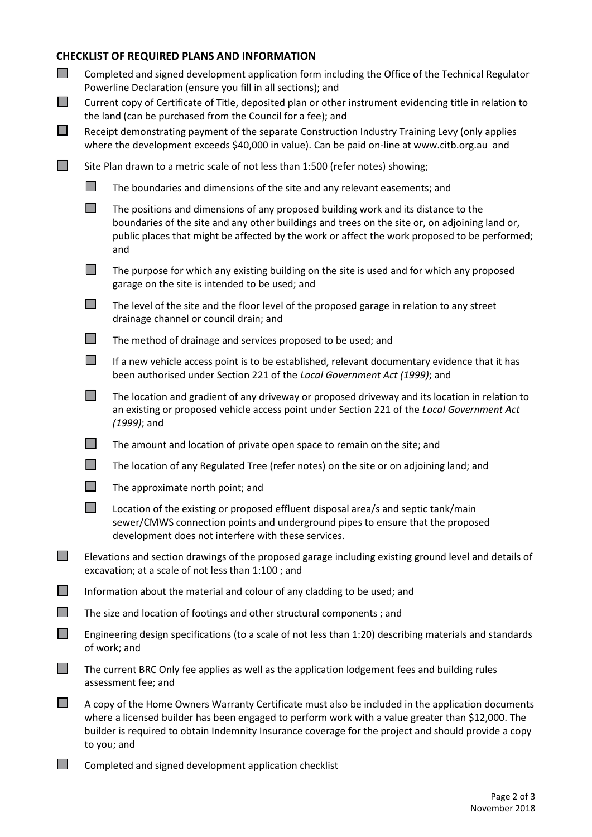## **CHECKLIST OF REQUIRED PLANS AND INFORMATION**

| $\Box$<br>$\mathcal{L}_{\mathcal{A}}$<br>$\mathcal{L}_{\mathcal{A}}$ | Completed and signed development application form including the Office of the Technical Regulator<br>Powerline Declaration (ensure you fill in all sections); and<br>Current copy of Certificate of Title, deposited plan or other instrument evidencing title in relation to<br>the land (can be purchased from the Council for a fee); and<br>Receipt demonstrating payment of the separate Construction Industry Training Levy (only applies<br>where the development exceeds \$40,000 in value). Can be paid on-line at www.citb.org.au and |                                                                                                                                                                                                                                                                                              |  |
|----------------------------------------------------------------------|-------------------------------------------------------------------------------------------------------------------------------------------------------------------------------------------------------------------------------------------------------------------------------------------------------------------------------------------------------------------------------------------------------------------------------------------------------------------------------------------------------------------------------------------------|----------------------------------------------------------------------------------------------------------------------------------------------------------------------------------------------------------------------------------------------------------------------------------------------|--|
| $\mathcal{L}^{\mathcal{A}}$                                          | Site Plan drawn to a metric scale of not less than 1:500 (refer notes) showing;                                                                                                                                                                                                                                                                                                                                                                                                                                                                 |                                                                                                                                                                                                                                                                                              |  |
|                                                                      | $\Box$                                                                                                                                                                                                                                                                                                                                                                                                                                                                                                                                          | The boundaries and dimensions of the site and any relevant easements; and                                                                                                                                                                                                                    |  |
|                                                                      | $\Box$                                                                                                                                                                                                                                                                                                                                                                                                                                                                                                                                          | The positions and dimensions of any proposed building work and its distance to the<br>boundaries of the site and any other buildings and trees on the site or, on adjoining land or,<br>public places that might be affected by the work or affect the work proposed to be performed;<br>and |  |
|                                                                      | П                                                                                                                                                                                                                                                                                                                                                                                                                                                                                                                                               | The purpose for which any existing building on the site is used and for which any proposed<br>garage on the site is intended to be used; and                                                                                                                                                 |  |
|                                                                      | $\mathbb{R}^n$                                                                                                                                                                                                                                                                                                                                                                                                                                                                                                                                  | The level of the site and the floor level of the proposed garage in relation to any street<br>drainage channel or council drain; and                                                                                                                                                         |  |
|                                                                      | $\Box$                                                                                                                                                                                                                                                                                                                                                                                                                                                                                                                                          | The method of drainage and services proposed to be used; and                                                                                                                                                                                                                                 |  |
|                                                                      | $\Box$                                                                                                                                                                                                                                                                                                                                                                                                                                                                                                                                          | If a new vehicle access point is to be established, relevant documentary evidence that it has<br>been authorised under Section 221 of the Local Government Act (1999); and                                                                                                                   |  |
|                                                                      | $\Box$                                                                                                                                                                                                                                                                                                                                                                                                                                                                                                                                          | The location and gradient of any driveway or proposed driveway and its location in relation to<br>an existing or proposed vehicle access point under Section 221 of the Local Government Act<br>$(1999)$ ; and                                                                               |  |
|                                                                      |                                                                                                                                                                                                                                                                                                                                                                                                                                                                                                                                                 | The amount and location of private open space to remain on the site; and                                                                                                                                                                                                                     |  |
|                                                                      | $\Box$                                                                                                                                                                                                                                                                                                                                                                                                                                                                                                                                          | The location of any Regulated Tree (refer notes) on the site or on adjoining land; and                                                                                                                                                                                                       |  |
|                                                                      | $\mathbb{R}^n$                                                                                                                                                                                                                                                                                                                                                                                                                                                                                                                                  | The approximate north point; and                                                                                                                                                                                                                                                             |  |
|                                                                      |                                                                                                                                                                                                                                                                                                                                                                                                                                                                                                                                                 | Location of the existing or proposed effluent disposal area/s and septic tank/main<br>sewer/CMWS connection points and underground pipes to ensure that the proposed<br>development does not interfere with these services.                                                                  |  |
| l I                                                                  | Elevations and section drawings of the proposed garage including existing ground level and details of<br>excavation; at a scale of not less than 1:100; and<br>Information about the material and colour of any cladding to be used; and                                                                                                                                                                                                                                                                                                        |                                                                                                                                                                                                                                                                                              |  |
| $\Box$                                                               |                                                                                                                                                                                                                                                                                                                                                                                                                                                                                                                                                 |                                                                                                                                                                                                                                                                                              |  |
| $\Box$                                                               |                                                                                                                                                                                                                                                                                                                                                                                                                                                                                                                                                 | The size and location of footings and other structural components; and                                                                                                                                                                                                                       |  |
| $\Box$                                                               | Engineering design specifications (to a scale of not less than 1:20) describing materials and standards<br>of work; and                                                                                                                                                                                                                                                                                                                                                                                                                         |                                                                                                                                                                                                                                                                                              |  |
| $\Box$                                                               | The current BRC Only fee applies as well as the application lodgement fees and building rules<br>assessment fee; and                                                                                                                                                                                                                                                                                                                                                                                                                            |                                                                                                                                                                                                                                                                                              |  |
|                                                                      | A copy of the Home Owners Warranty Certificate must also be included in the application documents<br>where a licensed builder has been engaged to perform work with a value greater than \$12,000. The<br>builder is required to obtain Indemnity Insurance coverage for the project and should provide a copy<br>to you; and                                                                                                                                                                                                                   |                                                                                                                                                                                                                                                                                              |  |

Completed and signed development application checklist